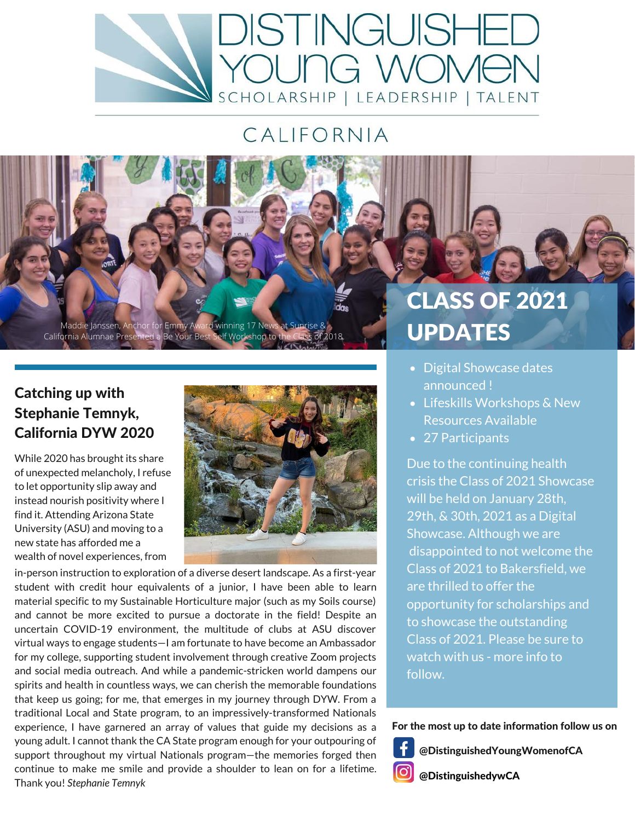

## CALIFORNIA

Maddie Janssen, Anchor for Emmy Award winning 17 New California Alumnae Presented a Be Your Best Self Workshop to the

#### Catching up with Stephanie Temnyk, California DYW 2020

While 2020 has brought its share of unexpected melancholy, I refuse to let opportunity slip away and instead nourish positivity where I find it. Attending Arizona State University (ASU) and moving to a new state has afforded me a wealth of novel experiences, from



in-person instruction to exploration of a diverse desert landscape. As a first-year student with credit hour equivalents of a junior, I have been able to learn material specific to my Sustainable Horticulture major (such as my Soils course) and cannot be more excited to pursue a doctorate in the field! Despite an uncertain COVID-19 environment, the multitude of clubs at ASU discover virtual ways to engage students—I am fortunate to have become an Ambassador for my college, supporting student involvement through creative Zoom projects and social media outreach. And while a pandemic-stricken world dampens our spirits and health in countless ways, we can cherish the memorable foundations that keep us going; for me, that emerges in my journey through DYW. From a traditional Local and State program, to an impressively-transformed Nationals experience, I have garnered an array of values that guide my decisions as a young adult. I cannot thank the CA State program enough for your outpouring of support throughout my virtual Nationals program—the memories forged then continue to make me smile and provide a shoulder to lean on for a lifetime. Thank you! *Stephanie Temnyk*

# CLASS OF 2021 UPDATES

- Digital Showcase dates announced !
- Lifeskills Workshops & New Resources Available
- 27 Participants

Due to the continuing health crisis the Class of 2021 Showcase will be held on January 28th, 29th, & 30th, 2021 as a Digital Showcase. Although we are disappointed to not welcome the Class of 2021 to Bakersfield, we are thrilled to offer the opportunity for scholarships and to showcase the outstanding Class of 2021. Please be sure to watch with us - more info to follow.

For the most up to date information follow us on



@DistinguishedYoungWomenofCA

@DistinguishedywCA